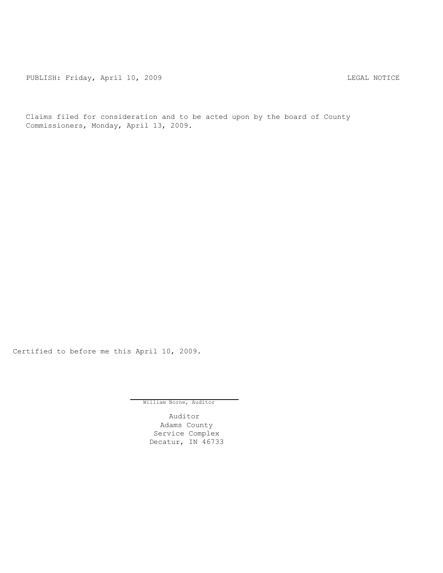PUBLISH: Friday, April 10, 2009 CHA CHANGE CONSTRUCTED AND THE LEGAL NOTICE

Claims filed for consideration and to be acted upon by the board of County Commissioners, Monday, April 13, 2009.

Certified to before me this April 10, 2009.

William Borne, Auditor

Auditor Adams County Service Complex Decatur, IN 46733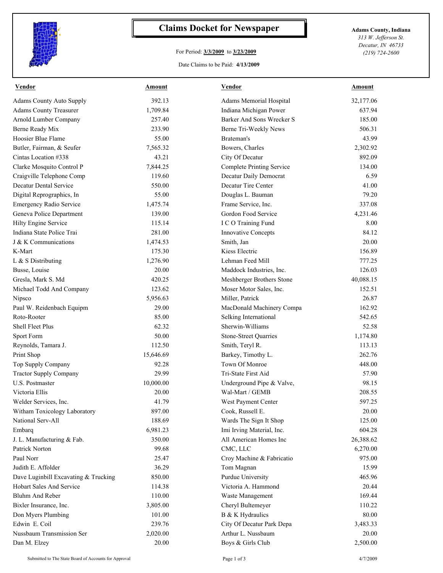

## **Claims Docket for Newspaper Adams County, Indiana**

## For Period: **3/3/2009** to **3/23/2009**

Date Claims to be Paid: **4/13/2009**

*313 W. Jefferson St. Decatur, IN 46733 (219) 724-2600*

| <b>Vendor</b>                             | Amount            | Vendor                                  | Amount            |
|-------------------------------------------|-------------------|-----------------------------------------|-------------------|
| <b>Adams County Auto Supply</b>           | 392.13            | Adams Memorial Hospital                 | 32,177.06         |
| <b>Adams County Treasurer</b>             | 1,709.84          | Indiana Michigan Power                  | 637.94            |
| Arnold Lumber Company                     | 257.40            | Barker And Sons Wrecker S               | 185.00            |
| Berne Ready Mix                           | 233.90            | Berne Tri-Weekly News                   | 506.31            |
| Hoosier Blue Flame                        | 55.00             | Brateman's                              | 43.99             |
| Butler, Fairman, & Seufer                 | 7,565.32          | Bowers, Charles                         | 2,302.92          |
| Cintas Location #338                      | 43.21             | City Of Decatur                         | 892.09            |
| Clarke Mosquito Control P                 | 7,844.25          | <b>Complete Printing Service</b>        | 134.00            |
| Craigville Telephone Comp                 | 119.60            | Decatur Daily Democrat                  | 6.59              |
| <b>Decatur Dental Service</b>             | 550.00            | Decatur Tire Center                     | 41.00             |
| Digital Reprographics, In                 | 55.00             | Douglas L. Bauman                       | 79.20             |
| Emergency Radio Service                   | 1,475.74          | Frame Service, Inc.                     | 337.08            |
| Geneva Police Department                  | 139.00            | Gordon Food Service                     | 4,231.46          |
| Hilty Engine Service                      | 115.14            | I C O Training Fund                     | 8.00              |
| Indiana State Police Trai                 | 281.00            | <b>Innovative Concepts</b>              | 84.12             |
| J & K Communications                      | 1,474.53          | Smith, Jan                              | 20.00             |
| K-Mart                                    | 175.30            | Kiess Electric                          | 156.89            |
| L & S Distributing                        | 1,276.90          | Lehman Feed Mill                        | 777.25            |
| Busse, Louise                             | 20.00             | Maddock Industries, Inc.                | 126.03            |
| Gresla, Mark S. Md                        | 420.25            | Meshberger Brothers Stone               | 40,088.15         |
| Michael Todd And Company                  | 123.62            | Moser Motor Sales, Inc.                 | 152.51            |
| Nipsco                                    | 5,956.63          | Miller, Patrick                         | 26.87             |
| Paul W. Reidenbach Equipm                 | 29.00             | MacDonald Machinery Compa               | 162.92            |
| Roto-Rooter                               | 85.00             | Selking International                   | 542.65            |
| Shell Fleet Plus                          | 62.32             | Sherwin-Williams                        | 52.58             |
| Sport Form                                | 50.00             | <b>Stone-Street Quarries</b>            | 1,174.80          |
| Reynolds, Tamara J.                       | 112.50            | Smith, Teryl R.                         | 113.13            |
| Print Shop                                | 15,646.69         | Barkey, Timothy L.                      | 262.76            |
| Top Supply Company                        | 92.28             | Town Of Monroe                          | 448.00            |
| <b>Tractor Supply Company</b>             | 29.99             | Tri-State First Aid                     | 57.90             |
| U.S. Postmaster                           | 10,000.00         | Underground Pipe & Valve,               | 98.15             |
| Victoria Ellis                            | 20.00             | Wal-Mart / GEMB                         | 208.55            |
| Welder Services, Inc.                     | 41.79             | West Payment Center                     | 597.25            |
| Witham Toxicology Laboratory              | 897.00            | Cook, Russell E.                        | 20.00             |
| National Serv-All                         | 188.69            | Wards The Sign It Shop                  | 125.00            |
| Embarq                                    | 6,981.23          | Imi Irving Material, Inc.               | 604.28            |
| J. L. Manufacturing & Fab.                | 350.00            | All American Homes Inc                  | 26,388.62         |
| Patrick Norton                            | 99.68             | CMC, LLC                                | 6,270.00          |
| Paul Norr                                 | 25.47             | Croy Machine & Fabricatio               | 975.00            |
| Judith E. Affolder                        | 36.29             | Tom Magnan                              | 15.99             |
| Dave Luginbill Excavating & Trucking      | 850.00            | Purdue University                       | 465.96            |
| <b>Hobart Sales And Service</b>           |                   | Victoria A. Hammond                     |                   |
|                                           | 114.38            |                                         | 20.44             |
| Bluhm And Reber                           | 110.00            | Waste Management                        | 169.44            |
| Bixler Insurance, Inc.                    | 3,805.00          | Cheryl Bultemeyer                       | 110.22            |
| Don Myers Plumbing                        | 101.00            | B & K Hydraulics                        | 80.00             |
| Edwin E. Coil                             | 239.76            | City Of Decatur Park Depa               | 3,483.33          |
| Nussbaum Transmission Ser<br>Dan M. Elzey | 2,020.00<br>20.00 | Arthur L. Nussbaum<br>Boys & Girls Club | 20.00<br>2,500.00 |

Submitted to The State Board of Accounts for Approval Page 1 of 3 4/7/2009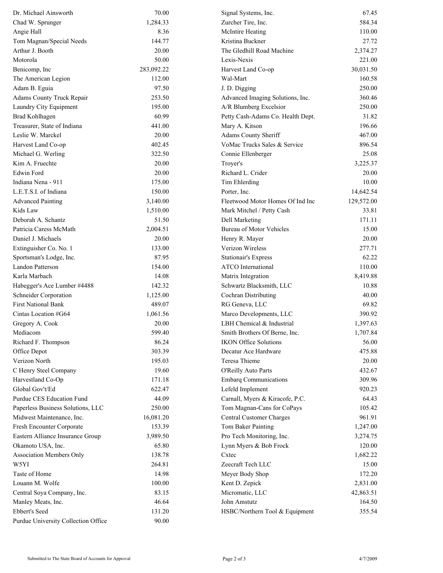| Dr. Michael Ainsworth               | 70.00      | Signal Systems, Inc.              | 67.45      |
|-------------------------------------|------------|-----------------------------------|------------|
| Chad W. Sprunger                    | 1,284.33   | Zurcher Tire, Inc.                | 584.34     |
| Angie Hall                          | 8.36       | McIntire Heating                  | 110.00     |
| Tom Magnan/Special Needs            | 144.77     | Kristina Buckner                  | 27.72      |
| Arthur J. Booth                     | 20.00      | The Gledhill Road Machine         | 2,374.27   |
| Motorola                            | 50.00      | Lexis-Nexis                       | 221.00     |
| Benicomp, Inc.                      | 283,092.22 | Harvest Land Co-op                | 30,031.50  |
| The American Legion                 | 112.00     | Wal-Mart                          | 160.58     |
| Adam B. Eguia                       | 97.50      | J. D. Digging                     | 250.00     |
| Adams County Truck Repair           | 253.50     | Advanced Imaging Solutions, Inc.  | 360.46     |
| Laundry City Equipment              | 195.00     | A/R Blumberg Excelsior            | 250.00     |
| Brad Kohlhagen                      | 60.99      | Petty Cash-Adams Co. Health Dept. | 31.82      |
| Treasurer, State of Indiana         | 441.00     | Mary A. Kitson                    | 196.66     |
| Leslie W. Marckel                   | 20.00      | Adams County Sheriff              | 467.00     |
| Harvest Land Co-op                  | 402.45     | VoMac Trucks Sales & Service      | 896.54     |
| Michael G. Werling                  | 322.50     | Connie Ellenberger                | 25.08      |
| Kim A. Fruechte                     | 20.00      | Troyer's                          | 3,225.37   |
| Edwin Ford                          | 20.00      | Richard L. Crider                 | 20.00      |
| Indiana Nena - 911                  | 175.00     | Tim Ehlerding                     | 10.00      |
| L.E.T.S.I. of Indiana               | 150.00     | Porter, Inc.                      | 14,642.54  |
| <b>Advanced Painting</b>            | 3,140.00   | Fleetwood Motor Homes Of Ind Inc  | 129,572.00 |
| Kids Law                            | 1,510.00   | Mark Mitchel / Petty Cash         | 33.81      |
| Deborah A. Schantz                  | 51.50      | Dell Marketing                    | 171.11     |
| Patricia Caress McMath              | 2,004.51   | <b>Bureau of Motor Vehicles</b>   | 15.00      |
| Daniel J. Michaels                  | 20.00      | Henry R. Mayer                    | 20.00      |
| Extinguisher Co. No. 1              | 133.00     | Verizon Wireless                  | 277.71     |
| Sportsman's Lodge, Inc.             | 87.95      | Stationair's Express              | 62.22      |
| Landon Patterson                    | 154.00     | <b>ATCO</b> International         | 110.00     |
| Karla Marbach                       | 14.08      | Matrix Integration                | 8,419.88   |
| Habegger's Ace Lumber #4488         | 142.32     | Schwartz Blacksmith, LLC          | 10.88      |
| Schneider Corporation               | 1,125.00   | Cochran Distributing              | 40.00      |
| <b>First National Bank</b>          | 489.07     | RG Geneva, LLC                    | 69.82      |
| Cintas Location #G64                | 1,061.56   | Marco Developments, LLC           | 390.92     |
| Gregory A. Cook                     | 20.00      | LBH Chemical & Industrial         | 1,397.63   |
| Mediacom                            | 599.40     | Smith Brothers Of Berne, Inc.     | 1,707.84   |
| Richard F. Thompson                 | 86.24      | <b>IKON Office Solutions</b>      | 56.00      |
| Office Depot                        | 303.39     | Decatur Ace Hardware              | 475.88     |
| Verizon North                       | 195.03     | Teresa Thieme                     | 20.00      |
| C Henry Steel Company               | 19.60      | O'Reilly Auto Parts               | 432.67     |
| Harvestland Co-Op                   | 171.18     | <b>Embarq Communications</b>      | 309.96     |
| Global Gov't/Ed                     | 622.47     | Lefeld Implement                  | 920.23     |
| Purdue CES Education Fund           | 44.09      | Carnall, Myers & Kiracofe, P.C.   | 64.43      |
| Paperless Business Solutions, LLC   | 250.00     | Tom Magnan-Cans for CoPays        | 105.42     |
| Midwest Maintenance, Inc.           | 16,081.20  | Central Customer Charges          | 961.91     |
| Fresh Encounter Corporate           | 153.39     | Tom Baker Painting                | 1,247.00   |
| Eastern Alliance Insurance Group    | 3,989.50   | Pro Tech Monitoring, Inc.         | 3,274.75   |
| Okamoto USA, Inc.                   | 65.80      | Lynn Myers & Bob Frock            | 120.00     |
| <b>Association Members Only</b>     | 138.78     | Cxtec                             | 1,682.22   |
| W5YI                                | 264.81     | Zeecraft Tech LLC                 | 15.00      |
| Taste of Home                       | 14.98      | Meyer Body Shop                   | 172.20     |
| Louann M. Wolfe                     | 100.00     | Kent D. Zepick                    | 2,831.00   |
| Central Soya Company, Inc.          | 83.15      | Micromatic, LLC                   | 42,863.51  |
| Manley Meats, Inc.                  | 46.64      | John Amstutz                      | 164.50     |
| Ebbert's Seed                       | 131.20     | HSBC/Northern Tool & Equipment    | 355.54     |
| Purdue University Collection Office | 90.00      |                                   |            |
|                                     |            |                                   |            |